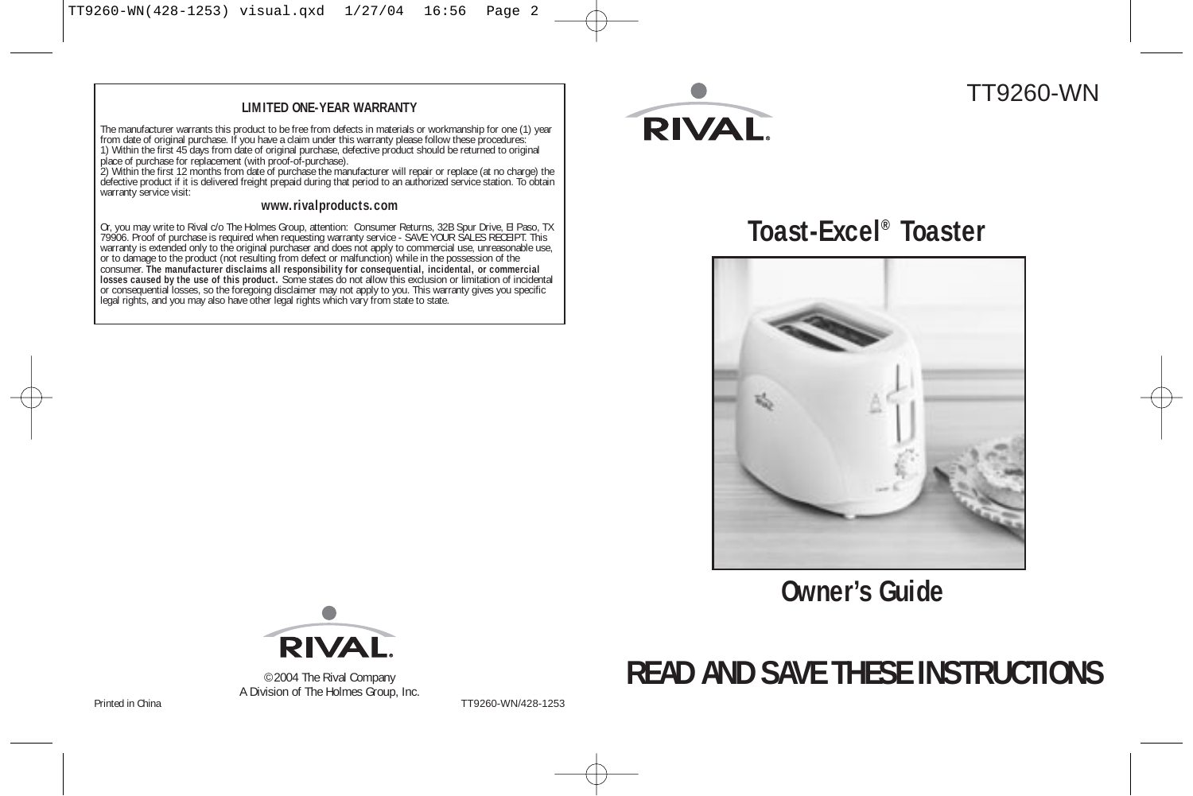#### **LIMITED ONE-YEAR WARRANTY**

The manufacturer warrants this product to be free from defects in materials or workmanship for one (1) year<br>from date of original purchase. If you have a claim under this warranty please follow these procedures:<br>1) Within

warranty service visit:

#### **www.rivalproducts.com**

Or, you may write to Rival c/o The Holmes Group, attention: Consumer Returns, 32B Spur Drive, El Paso, TX<br>79906. Proof of purchase is required when requesting warrantly service - SAVE YOUR SALES RECEIPT. This<br>variantly is



## TT9260-WN

**Toast-Excel® Toaster**



**Owner's Guide**



©2004 The Rival Company A Division of The Holmes Group, Inc.

Printed in China **Prince 2012 Prince 2014 TT9260-WN/428-1253** 

# **READ AND SAVE THESE INSTRUCTIONS**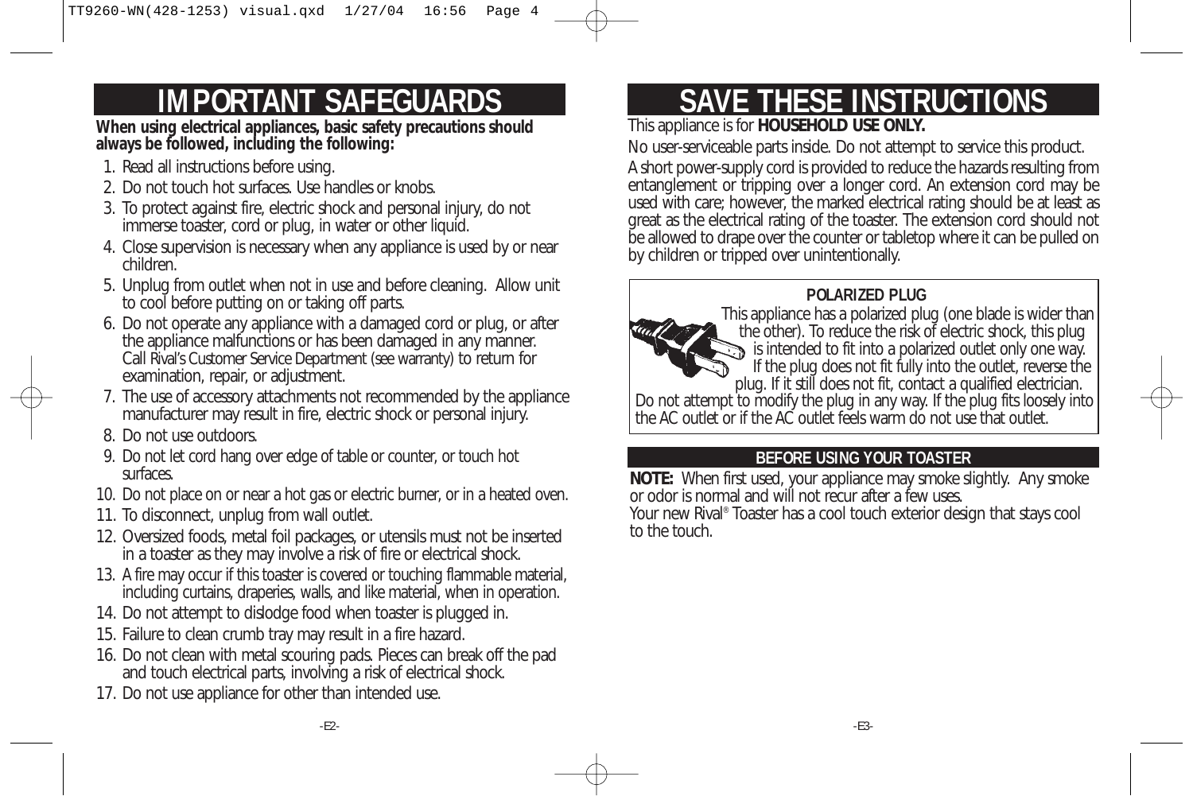# **IMPORTANT SAFEGUARDS**

**When using electrical appliances, basic safety precautions should always be followed, including the following:** 

- 1. Read all instructions before using.
- 2. Do not touch hot surfaces. Use handles or knobs.
- 3. To protect against fire, electric shock and personal injury, do not immerse toaster, cord or plug, in water or other liquid.
- 4. Close supervision is necessary when any appliance is used by or near children.
- 5. Unplug from outlet when not in use and before cleaning. Allow unit to cool before putting on or taking off parts.
- 6. Do not operate any appliance with a damaged cord or plug, or after the appliance malfunctions or has been damaged in any manner. Call Rival's Customer Service Department (see warranty) to return for examination, repair, or adjustment.
- 7. The use of accessory attachments not recommended by the appliance manufacturer may result in fire, electric shock or personal injury.
- 8. Do not use outdoors.
- 9. Do not let cord hang over edge of table or counter, or touch hot surfaces.
- 10. Do not place on or near a hot gas or electric burner, or in a heated oven.
- 11. To disconnect, unplug from wall outlet.
- 12. Oversized foods, metal foil packages, or utensils must not be inserted in a toaster as they may involve a risk of fire or electrical shock.
- 13. A fire may occur if this toaster is covered or touching flammable material, including curtains, draperies, walls, and like material, when in operation.
- 14. Do not attempt to dislodge food when toaster is plugged in.
- 15. Failure to clean crumb tray may result in a fire hazard.
- 16. Do not clean with metal scouring pads. Pieces can break off the pad and touch electrical parts, involving a risk of electrical shock.
- 17. Do not use appliance for other than intended use.

# **SAVE THESE INSTRUCTIONS**

## This appliance is for **HOUSEHOLD USE ONLY.**

No user-serviceable parts inside. Do not attempt to service this product. A short power-supply cord is provided to reduce the hazards resulting from entanglement or tripping over a longer cord. An extension cord may be used with care; however, the marked electrical rating should be at least as great as the electrical rating of the toaster. The extension cord should not be allowed to drape over the counter or tabletop where it can be pulled on by children or tripped over unintentionally.

## **POLARIZED PLUG**

This appliance has a polarized plug (one blade is wider than the other). To reduce the risk of electric shock, this plug is intended to fit into a polarized outlet only one way. If the plug does not fit fully into the outlet, reverse the plug. If it still does not fit, contact a qualified electrician. Do not attempt to modify the plug in any way. If the plug fits loosely into the AC outlet or if the AC outlet feels warm do not use that outlet.

## **BEFORE USING YOUR TOASTER**

**NOTE:** When first used, your appliance may smoke slightly. Any smoke or odor is normal and will not recur after a few uses.

Your new Rival® Toaster has a cool touch exterior design that stays cool to the touch.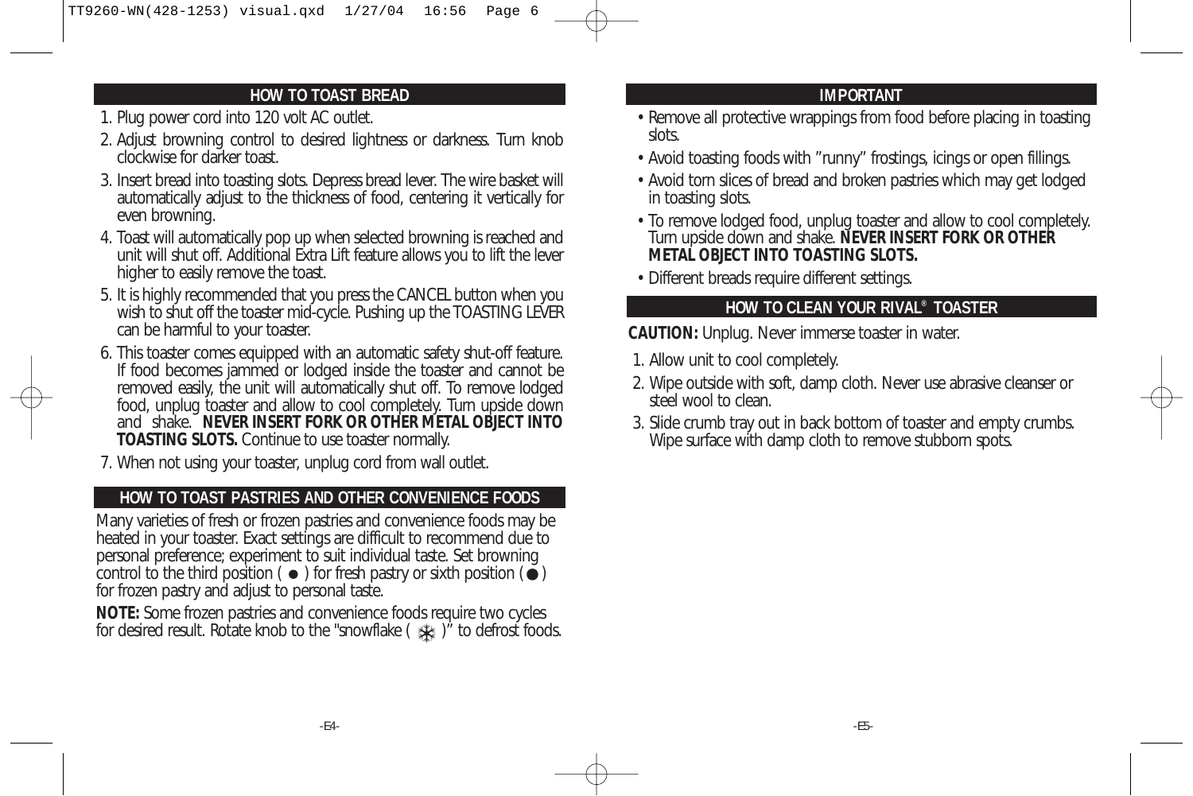### **HOW TO TOAST BREAD**

- 1. Plug power cord into 120 volt AC outlet.
- 2. Adjust browning control to desired lightness or darkness. Turn knob clockwise for darker toast.
- 3. Insert bread into toasting slots. Depress bread lever. The wire basket will automatically adjust to the thickness of food, centering it vertically for even browning.
- 4. Toast will automatically pop up when selected browning is reached and unit will shut off. Additional Extra Lift feature allows you to lift the lever higher to easily remove the toast.
- 5. It is highly recommended that you press the CANCEL button when you wish to shut off the toaster mid-cycle. Pushing up the TOASTING LEVER can be harmful to your toaster.
- 6. This toaster comes equipped with an automatic safety shut-off feature. If food becomes jammed or lodged inside the toaster and cannot be removed easily, the unit will automatically shut off. To remove lodged food, unplug toaster and allow to cool completely. Turn upside down and shake. **NEVER INSERT FORK OR OTHER METAL OBJECT INTO TOASTING SLOTS.** Continue to use toaster normally.
- 7. When not using your toaster, unplug cord from wall outlet.

## **HOW TO TOAST PASTRIES AND OTHER CONVENIENCE FOODS**

Many varieties of fresh or frozen pastries and convenience foods may be heated in your toaster. Exact settings are difficult to recommend due to personal preference; experiment to suit individual taste. Set browning control to the third position ( $\bullet$ ) for fresh pastry or sixth position ( $\bullet$ ) for frozen pastry and adjust to personal taste.

**NOTE:** Some frozen pastries and convenience foods require two cycles for desired result. Rotate knob to the "snowflake ( $\frac{1}{2}$ )" to defrost foods.

### **IMPORTANT**

- Remove all protective wrappings from food before placing in toasting slots.
- Avoid toasting foods with "runny" frostings, icings or open fillings.
- Avoid torn slices of bread and broken pastries which may get lodged in toasting slots.
- To remove lodged food, unplug toaster and allow to cool completely. Turn upside down and shake. **NEVER INSERT FORK OR OTHER METAL OBJECT INTO TOASTING SLOTS.**
- Different breads require different settings.

### **HOW TO CLEAN YOUR RIVAL® TOASTER**

**CAUTION:** Unplug. Never immerse toaster in water.

- 1. Allow unit to cool completely.
- 2. Wipe outside with soft, damp cloth. Never use abrasive cleanser or steel wool to clean.
- 3. Slide crumb tray out in back bottom of toaster and empty crumbs. Wipe surface with damp cloth to remove stubborn spots.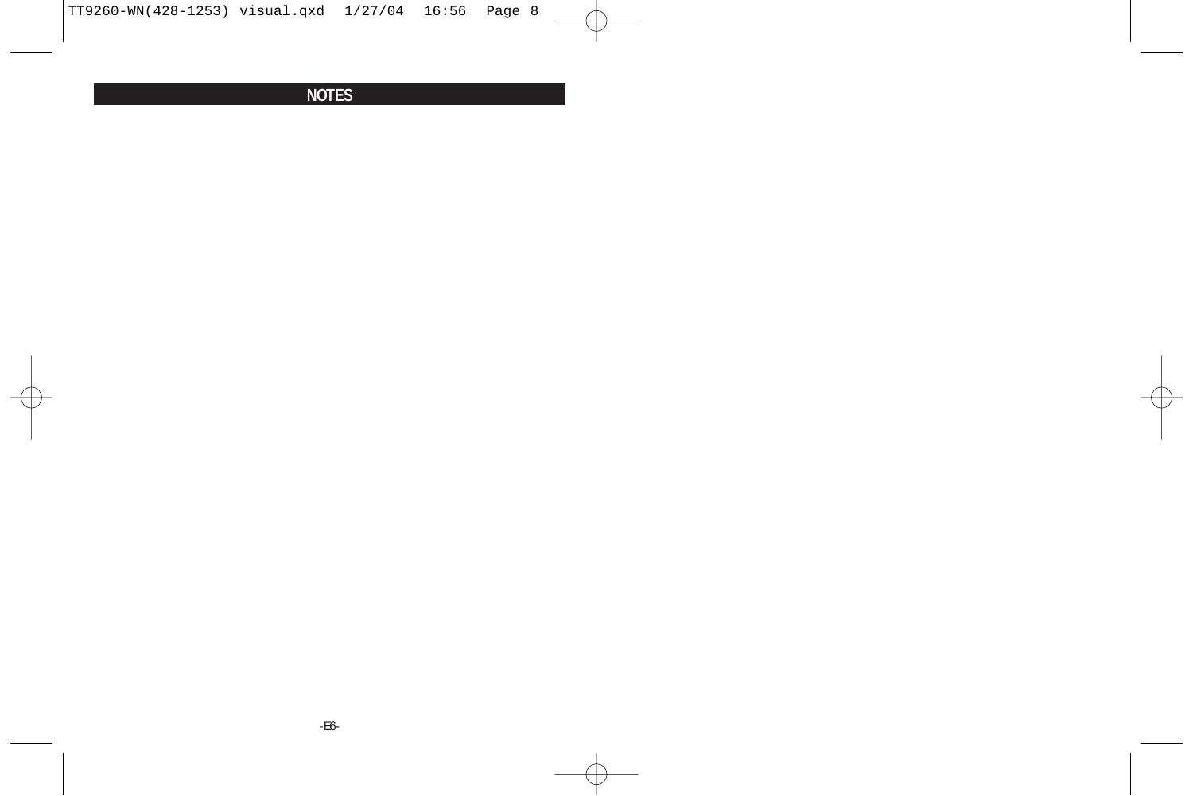## **NOTES**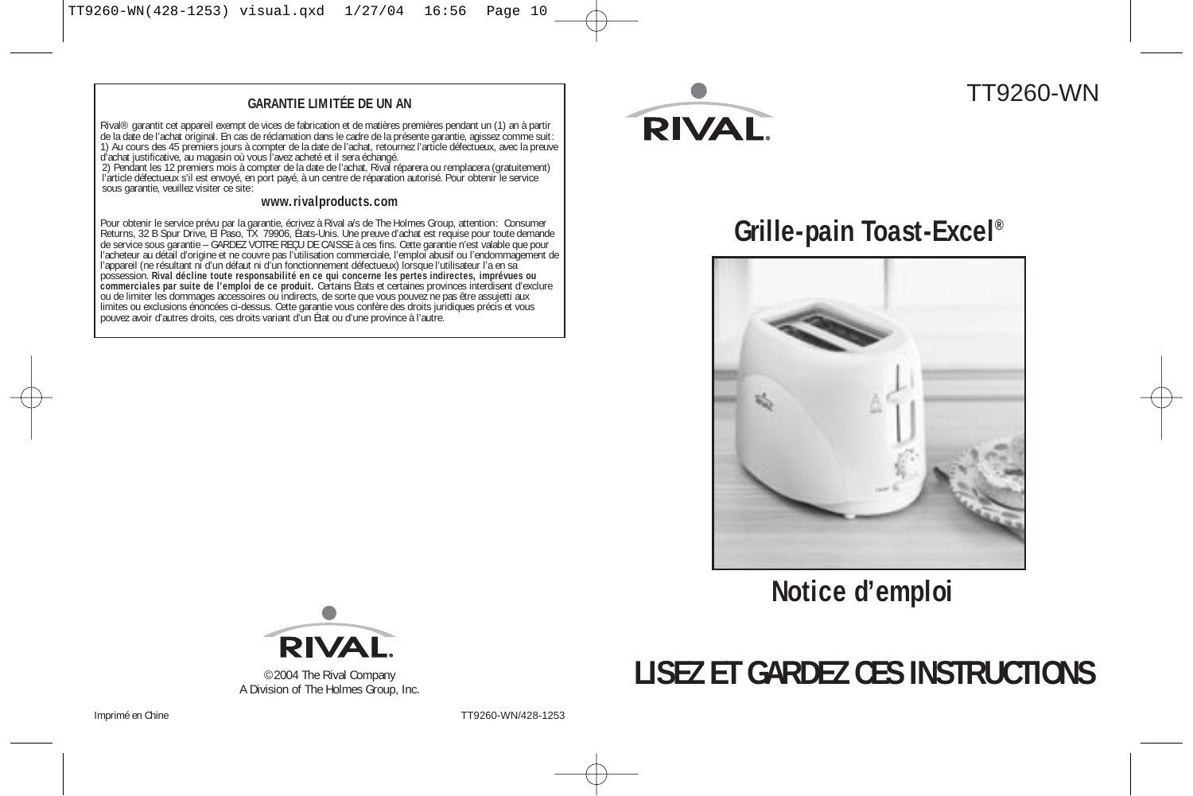#### **GARANTIE LIMITÉE DE UN AN**

Rival® garantit cet appareil exempt de vices de fabrication et de matières premières pendant un (1) an à partir de la date de l'achat original. En cas de réclamation dans le cadre de la présente garantie, agissez comme suit: 1) Au cours des 45 premiers jours à compter de la date de l'achat, retournez l'article défectueux, avec la preuve d'achat justificative, au magasin où vous l'avez acheté et il sera échangé. 2) Pendant les 12 premiers mois à compter de la date de l'achat, Rival réparera ou remplacera (gratuitement)

l'article défectueux s'il est envoyé, en port payé, à un centre de réparation autorisé. Pour obtenir le service sous garantie, veuillez visiter ce site:

#### **www.rivalproducts.com**

Pour obtenir le service prévu par la garantie, écrivez à Rival a/s de The Holmes Group, attention: Consumer<br>Returns, 32 B Spur Drive, El Paso, TX 79906, États-Unis. Une preuve d'achat est requise pour toute demande de service sous garantie – GARDEZ VOTRE REÇU DE CAISSE à ces fins. Cette garantie n'est valable que pour l'acheteur au détail d'origine et ne couvre pas l'utilisation commerciale, l'emploi abusif ou l'endommagement de<br>l'appareil (ne résultant ni d'un défaut ni d'un fonctionnement défectueux) lorsque l'utilisateur l'a en sa possession. **Rival décline toute responsabilité en ce qui concerne les pertes indirectes, imprévues ou<br>commerciales par suite de l'emploi de ce produit. Certains États et certaines provinces interdisent d'exclure<br>limitier** 



## TT9260-WN

# **Grille-pain Toast-Excel®**



**Notice d'emploi**



A Division of The Holmes Group, Inc.

# ©2004 The Rival Company **LISEZ ET GARDEZ CES INSTRUCTIONS**

Imprimé en Chine TT9260-WN/428-1253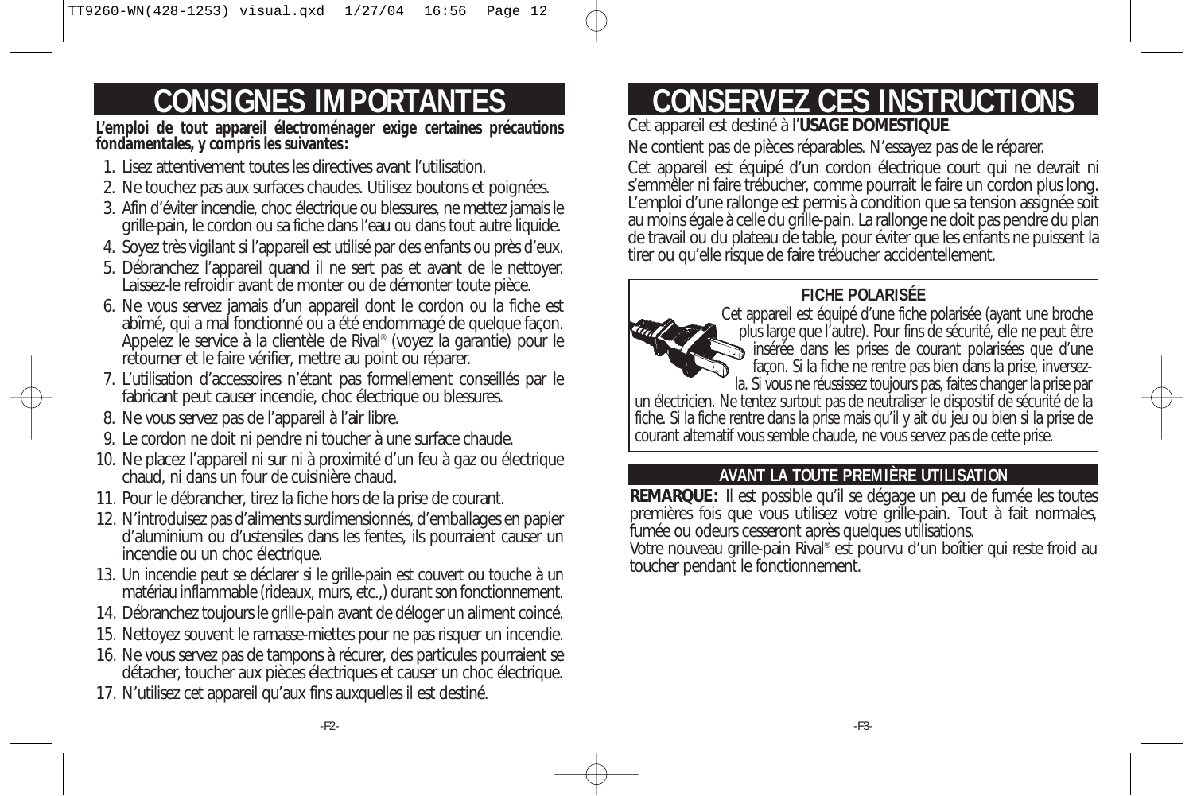# **CONSIGNES IMPORTANTES**

**L'emploi de tout appareil électroménager exige certaines précautions fondamentales, y compris les suivantes:**

- 1. Lisez attentivement toutes les directives avant l'utilisation.
- 2. Ne touchez pas aux surfaces chaudes. Utilisez boutons et poignées.
- 3. Afin d'éviter incendie, choc électrique ou blessures, ne mettez jamais le grille-pain, le cordon ou sa fiche dans l'eau ou dans tout autre liquide.
- 4. Soyez très vigilant si l'appareil est utilisé par des enfants ou près d'eux.
- 5. Débranchez l'appareil quand il ne sert pas et avant de le nettoyer. Laissez-le refroidir avant de monter ou de démonter toute pièce.
- 6. Ne vous servez jamais d'un appareil dont le cordon ou la fiche est abîmé, qui a mal fonctionné ou a été endommagé de quelque façon. Appelez le service à la clientèle de Rival® (voyez la garantie) pour le retourner et le faire vérifier, mettre au point ou réparer.
- 7. L'utilisation d'accessoires n'étant pas formellement conseillés par le fabricant peut causer incendie, choc électrique ou blessures.
- 8. Ne vous servez pas de l'appareil à l'air libre.
- 9. Le cordon ne doit ni pendre ni toucher à une surface chaude.
- 10. Ne placez l'appareil ni sur ni à proximité d'un feu à gaz ou électrique chaud, ni dans un four de cuisinière chaud.
- 11. Pour le débrancher, tirez la fiche hors de la prise de courant.
- 12. N'introduisez pas d'aliments surdimensionnés, d'emballages en papier d'aluminium ou d'ustensiles dans les fentes, ils pourraient causer un incendie ou un choc électrique.
- 13. Un incendie peut se déclarer si le grille-pain est couvert ou touche à un matériau inflammable (rideaux, murs, etc.,) durant son fonctionnement.
- 14. Débranchez toujours le grille-pain avant de déloger un aliment coincé.
- 15. Nettoyez souvent le ramasse-miettes pour ne pas risquer un incendie.
- 16. Ne vous servez pas de tampons à récurer, des particules pourraient se détacher, toucher aux pièces électriques et causer un choc électrique.
- 17. N'utilisez cet appareil qu'aux fins auxquelles il est destiné.

# **CONSERVEZ CES INSTRUCTIONS**

Cet appareil est destiné à l'**USAGE DOMESTIQUE**.

Ne contient pas de pièces réparables. N'essayez pas de le réparer.

Cet appareil est équipé d'un cordon électrique court qui ne devrait ni s'emmêler ni faire trébucher, comme pourrait le faire un cordon plus long. L'emploi d'une rallonge est permis à condition que sa tension assignée soit au moins égale à celle du grille-pain. La rallonge ne doit pas pendre du plan de travail ou du plateau de table, pour éviter que les enfants ne puissent la tirer ou qu'elle risque de faire trébucher accidentellement.

## **FICHE POLARISÉE**



Cet appareil est équipé d'une fiche polarisée (ayant une broche plus large que l'autre). Pour fins de sécurité, elle ne peut être insérée dans les prises de courant polarisées que d'une façon. Si la fiche ne rentre pas bien dans la prise, inversezla. Si vous ne réussissez toujours pas, faites changer la prise par un électricien. Ne tentez surtout pas de neutraliser le dispositif de sécurité de la fiche. Si la fiche rentre dans la prise mais qu'il y ait du jeu ou bien si la prise de courant alternatif vous semble chaude, ne vous servez pas de cette prise.

## **AVANT LA TOUTE PREMIÈRE UTILISATION**

**REMARQUE:** Il est possible qu'il se dégage un peu de fumée les toutes premières fois que vous utilisez votre grille-pain. Tout à fait normales, fumée ou odeurs cesseront après quelques utilisations.

Votre nouveau grille-pain Rival® est pourvu d'un boîtier qui reste froid au toucher pendant le fonctionnement.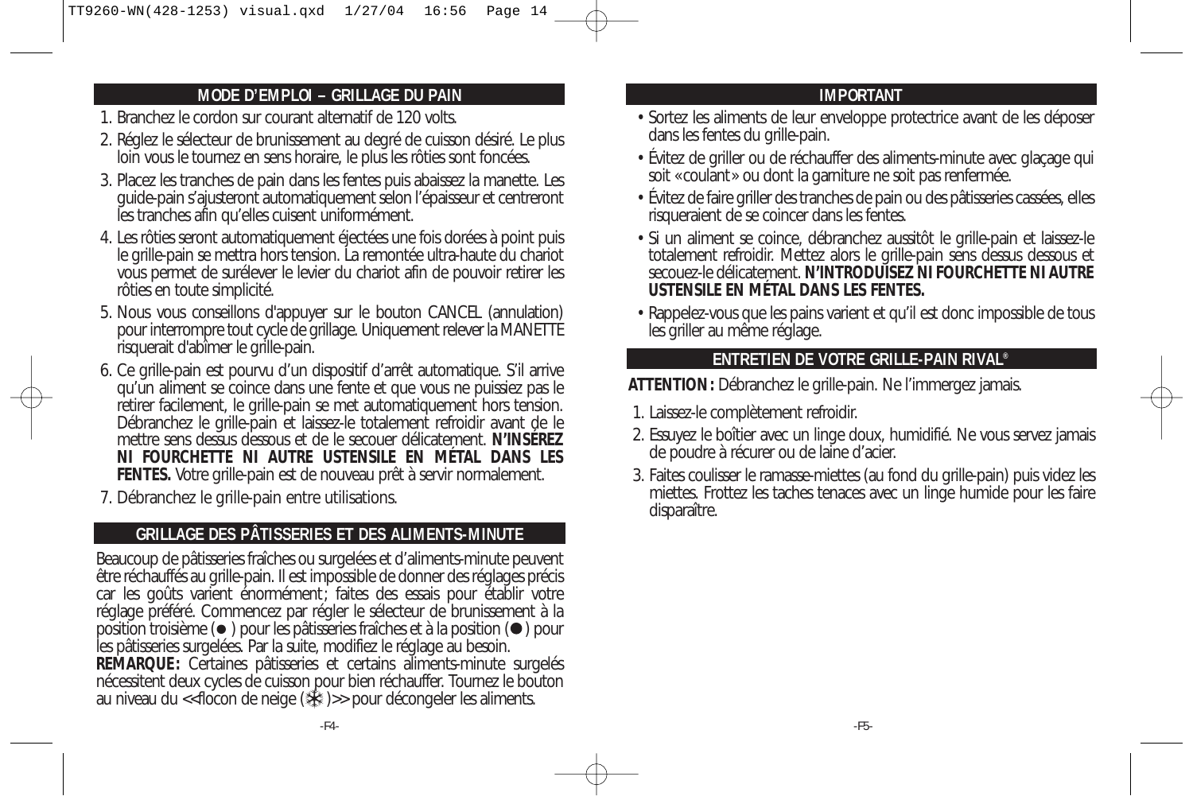### **MODE D'EMPLOI – GRILLAGE DU PAIN**

- 1. Branchez le cordon sur courant alternatif de 120 volts.
- 2. Réglez le sélecteur de brunissement au degré de cuisson désiré. Le plus loin vous le tournez en sens horaire, le plus les rôties sont foncées.
- 3. Placez les tranches de pain dans les fentes puis abaissez la manette. Les guide-pain s'ajusteront automatiquement selon l'épaisseur et centreront les tranches afin qu'elles cuisent uniformément.
- 4. Les rôties seront automatiquement éjectées une fois dorées à point puis le grille-pain se mettra hors tension. La remontée ultra-haute du chariot vous permet de surélever le levier du chariot afin de pouvoir retirer les rôties en toute simplicité.
- 5. Nous vous conseillons d'appuyer sur le bouton CANCEL (annulation) pour interrompre tout cycle de grillage. Uniquement relever la MANETTE risquerait d'abîmer le grille-pain.
- 6. Ce grille-pain est pourvu d'un dispositif d'arrêt automatique. S'il arrive qu'un aliment se coince dans une fente et que vous ne puissiez pas le retirer facilement, le grille-pain se met automatiquement hors tension. Débranchez le grille-pain et laissez-le totalement refroidir avant de le mettre sens dessus dessous et de le secouer délicatement. **N'INSÉREZ NI FOURCHETTE NI AUTRE USTENSILE EN MÉTAL DANS LES FENTES.** Votre grille-pain est de nouveau prêt à servir normalement.
- 7. Débranchez le grille-pain entre utilisations.

### **GRILLAGE DES PÂTISSERIES ET DES ALIMENTS-MINUTE**

Beaucoup de pâtisseries fraîches ou surgelées et d'aliments-minute peuvent être réchauffés au grille-pain. Il est impossible de donner des réglages précis car les goûts varient énormément; faites des essais pour établir votre réglage préféré. Commencez par régler le sélecteur de brunissement à la position troisième  $(\bullet)$  pour les pâtisseries fraîches et à la position  $(\bullet)$  pour les pâtisseries surgelées. Par la suite, modifiez le réglage au besoin. **REMARQUE:** Certaines pâtisseries et certains aliments-minute surgelés nécessitent deux cycles de cuisson pour bien réchauffer. Tournez le bouton au niveau du << flocon de neige (  $\frac{1}{2}$  )>> pour décongeler les aliments.

### **IMPORTANT**

- Sortez les aliments de leur enveloppe protectrice avant de les déposer dans les fentes du grille-pain.
- Évitez de griller ou de réchauffer des aliments-minute avec glaçage qui soit «coulant» ou dont la garniture ne soit pas renfermée.
- Évitez de faire griller des tranches de pain ou des pâtisseries cassées, elles risqueraient de se coincer dans les fentes.
- Si un aliment se coince, débranchez aussitôt le grille-pain et laissez-le totalement refroidir. Mettez alors le grille-pain sens dessus dessous et secouez-le délicatement. **N'INTRODUISEZ NI FOURCHETTE NI AUTRE USTENSILE EN MÉTAL DANS LES FENTES.**
- Rappelez-vous que les pains varient et qu'il est donc impossible de tous les griller au même réglage.

## **ENTRETIEN DE VOTRE GRILLE-PAIN RIVAL®**

**ATTENTION:** Débranchez le grille-pain. Ne l'immergez jamais.

- 1. Laissez-le complètement refroidir.
- 2. Essuyez le boîtier avec un linge doux, humidifié. Ne vous servez jamais de poudre à récurer ou de laine d'acier.
- 3. Faites coulisser le ramasse-miettes (au fond du grille-pain) puis videz les miettes. Frottez les taches tenaces avec un linge humide pour les faire disparaître.